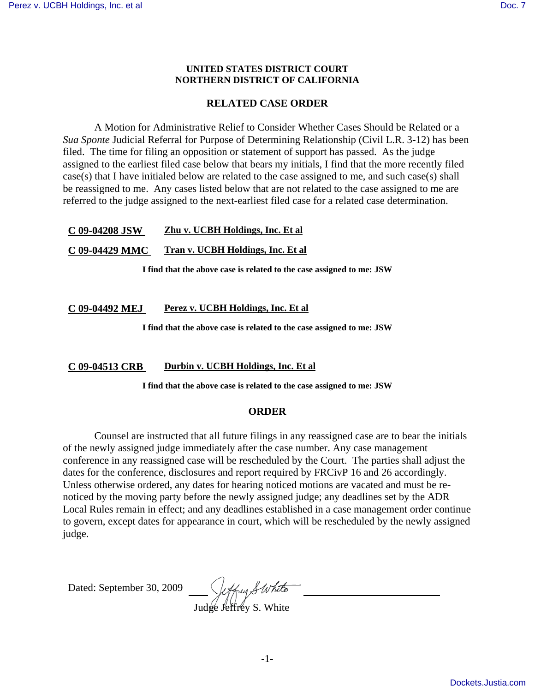## **UNITED STATES DISTRICT COURT NORTHERN DISTRICT OF CALIFORNIA**

# **RELATED CASE ORDER**

A Motion for Administrative Relief to Consider Whether Cases Should be Related or a *Sua Sponte* Judicial Referral for Purpose of Determining Relationship (Civil L.R. 3-12) has been filed. The time for filing an opposition or statement of support has passed. As the judge assigned to the earliest filed case below that bears my initials, I find that the more recently filed case(s) that I have initialed below are related to the case assigned to me, and such case(s) shall be reassigned to me. Any cases listed below that are not related to the case assigned to me are referred to the judge assigned to the next-earliest filed case for a related case determination.

## **C 09-04208 JSW Zhu v. UCBH Holdings, Inc. Et al**

**C 09-04429 MMC Tran v. UCBH Holdings, Inc. Et al**

**I find that the above case is related to the case assigned to me: JSW**

## **C 09-04492 MEJ Perez v. UCBH Holdings, Inc. Et al**

**I find that the above case is related to the case assigned to me: JSW**

#### **C 09-04513 CRB Durbin v. UCBH Holdings, Inc. Et al**

**I find that the above case is related to the case assigned to me: JSW**

## **ORDER**

Counsel are instructed that all future filings in any reassigned case are to bear the initials of the newly assigned judge immediately after the case number. Any case management conference in any reassigned case will be rescheduled by the Court. The parties shall adjust the dates for the conference, disclosures and report required by FRCivP 16 and 26 accordingly. Unless otherwise ordered, any dates for hearing noticed motions are vacated and must be renoticed by the moving party before the newly assigned judge; any deadlines set by the ADR Local Rules remain in effect; and any deadlines established in a case management order continue to govern, except dates for appearance in court, which will be rescheduled by the newly assigned judge.

Dated: September 30, 2009

Judge Jeffrey S. White